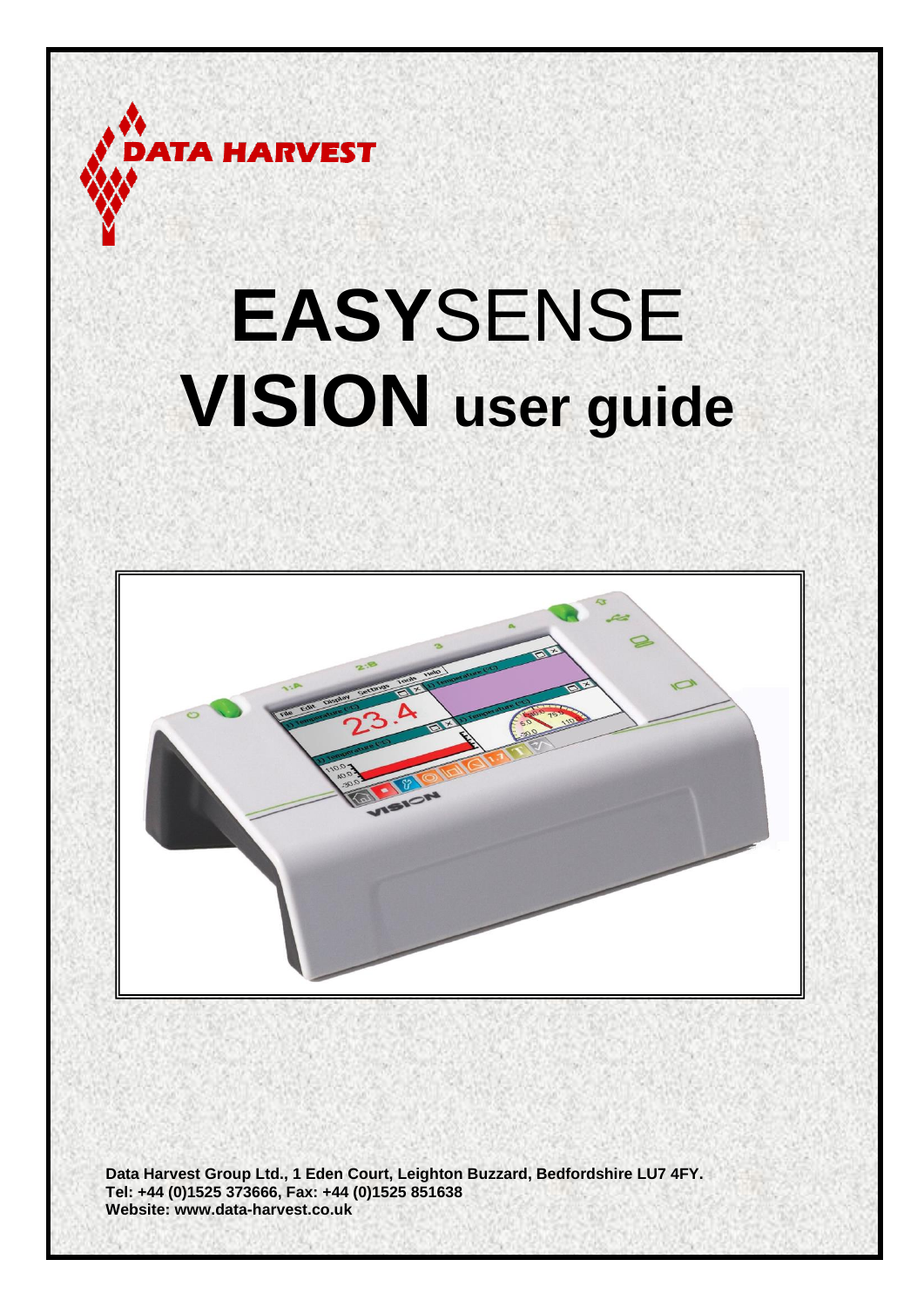

# **EASY**SENSE **VISION user guide**



**Data Harvest Group Ltd., 1 Eden Court, Leighton Buzzard, Bedfordshire LU7 4FY. Tel: +44 (0)1525 373666, Fax: +44 (0)1525 851638 Website: [www.data-harvest.co.uk](http://www.data-harvest.co.uk/)**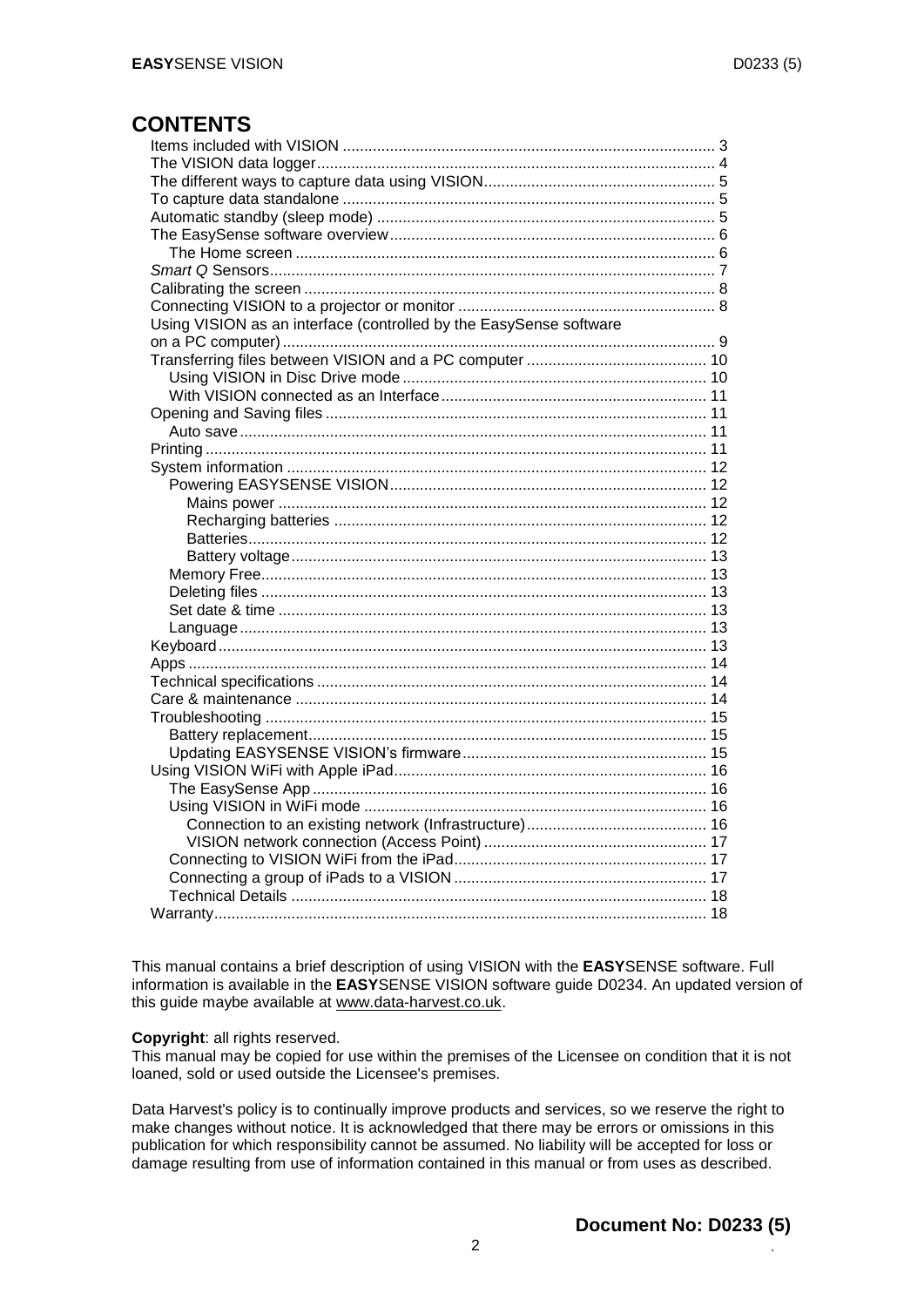## **CONTENTS**

| Using VISION as an interface (controlled by the EasySense software |  |
|--------------------------------------------------------------------|--|
|                                                                    |  |
|                                                                    |  |
|                                                                    |  |
|                                                                    |  |
|                                                                    |  |
|                                                                    |  |
|                                                                    |  |
|                                                                    |  |
|                                                                    |  |
|                                                                    |  |
|                                                                    |  |
|                                                                    |  |
|                                                                    |  |
|                                                                    |  |
|                                                                    |  |
|                                                                    |  |
|                                                                    |  |
|                                                                    |  |
|                                                                    |  |
|                                                                    |  |
|                                                                    |  |
|                                                                    |  |
|                                                                    |  |
|                                                                    |  |
|                                                                    |  |
|                                                                    |  |
|                                                                    |  |
|                                                                    |  |
|                                                                    |  |
|                                                                    |  |
|                                                                    |  |
|                                                                    |  |
|                                                                    |  |
|                                                                    |  |

This manual contains a brief description of using VISION with the **EASY**SENSE software. Full information is available in the **EASY**SENSE VISION software guide D0234. An updated version of this guide maybe available at [www.data-harvest.co.uk.](http://www.data-harvest.co.uk/)

#### **Copyright**: all rights reserved.

This manual may be copied for use within the premises of the Licensee on condition that it is not loaned, sold or used outside the Licensee's premises.

Data Harvest's policy is to continually improve products and services, so we reserve the right to make changes without notice. It is acknowledged that there may be errors or omissions in this publication for which responsibility cannot be assumed. No liability will be accepted for loss or damage resulting from use of information contained in this manual or from uses as described.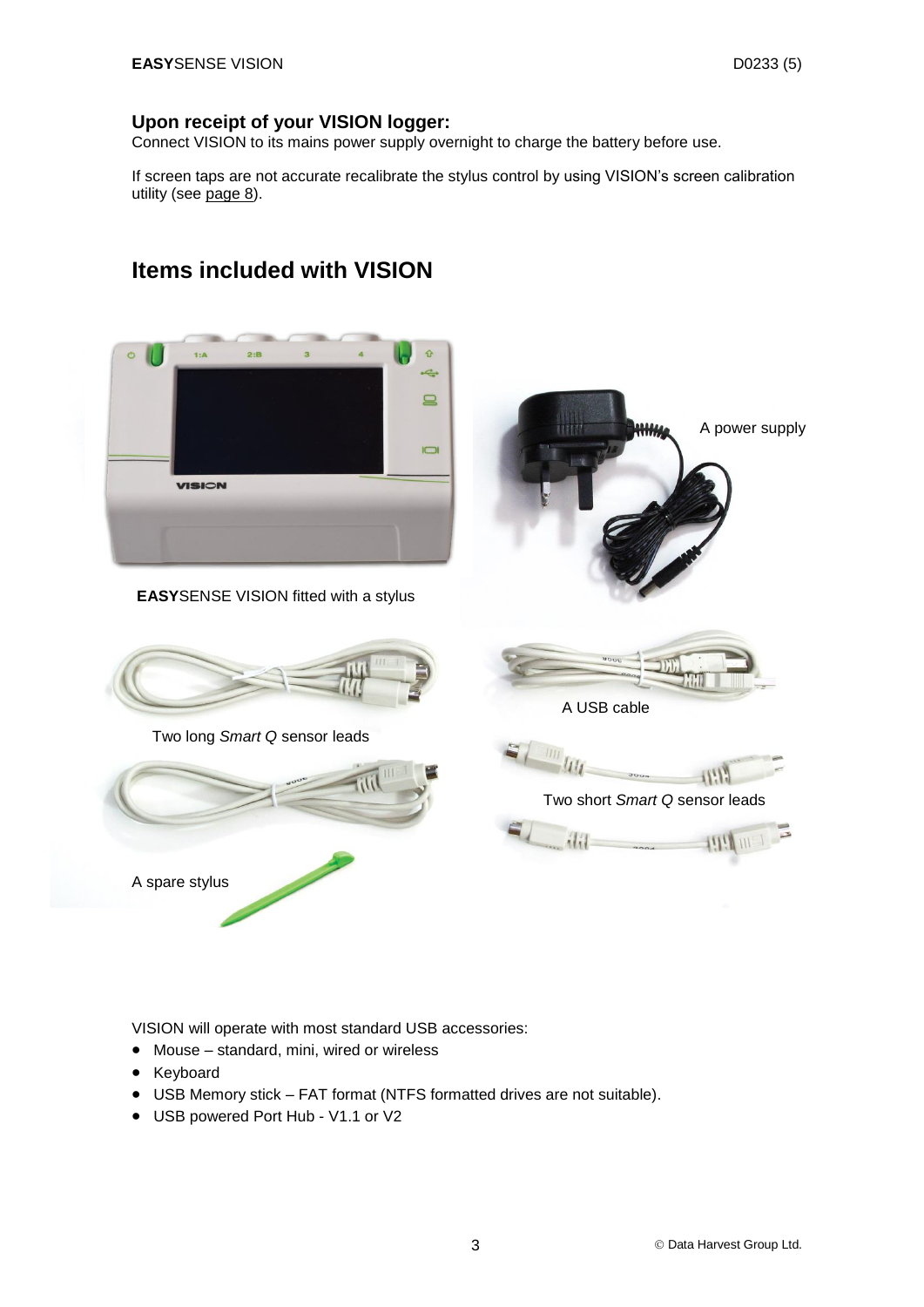#### **Upon receipt of your VISION logger:**

Connect VISION to its mains power supply overnight to charge the battery before use.

If screen taps are not accurate recalibrate the stylus control by using VISION's screen calibration utility (see [page 8\)](#page-7-0).

<span id="page-2-0"></span>

VISION will operate with most standard USB accessories:

- Mouse standard, mini, wired or wireless
- Keyboard
- USB Memory stick FAT format (NTFS formatted drives are not suitable).
- USB powered Port Hub V1.1 or V2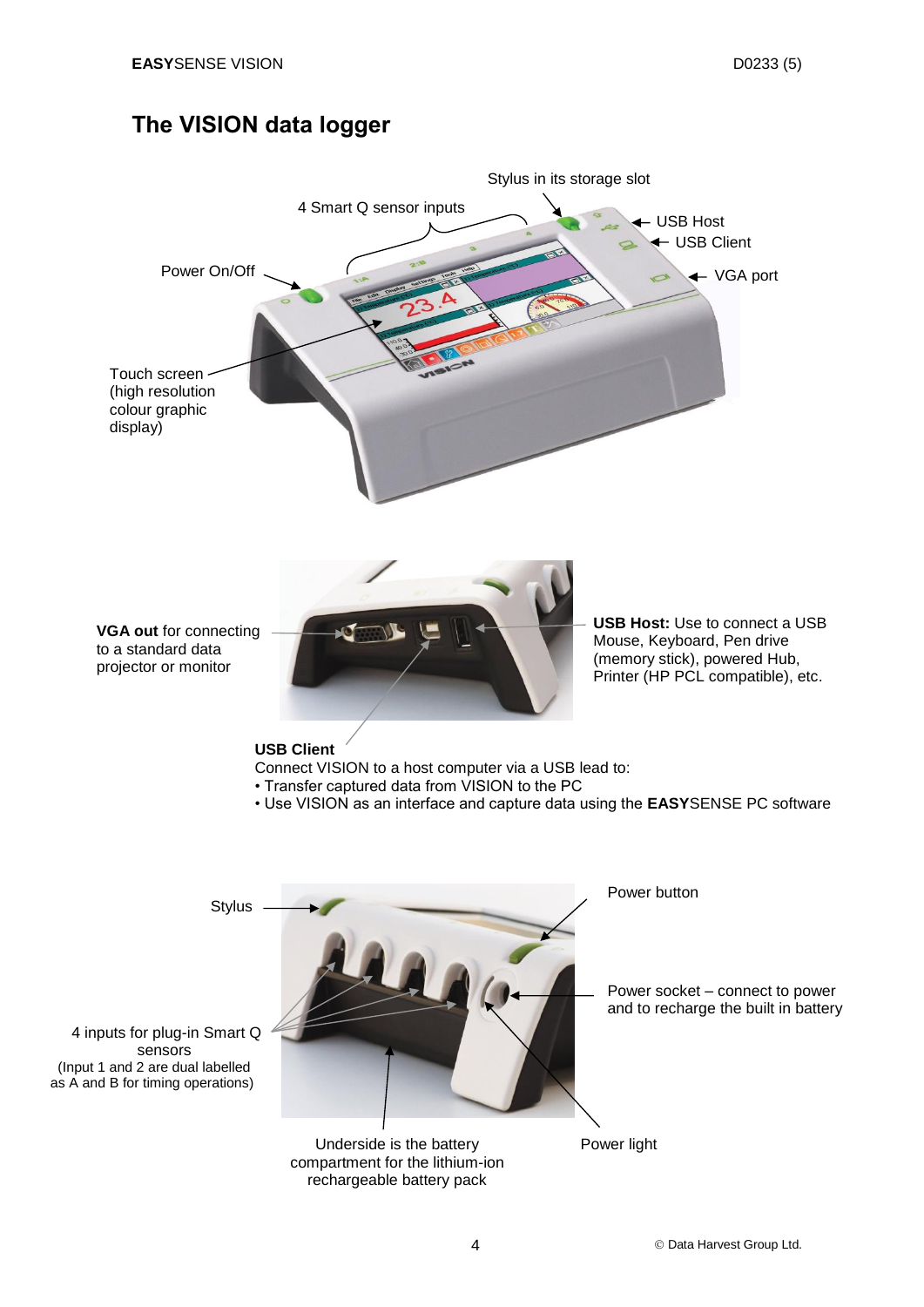## <span id="page-3-0"></span>**The VISION data logger**





**USB Host:** Use to connect a USB Mouse, Keyboard, Pen drive (memory stick), powered Hub, Printer (HP PCL compatible), etc.

#### **USB Client**

**VGA out** for connecting to a standard data projector or monitor

Connect VISION to a host computer via a USB lead to:

- Transfer captured data from VISION to the PC
- Use VISION as an interface and capture data using the **EASY**SENSE PC software

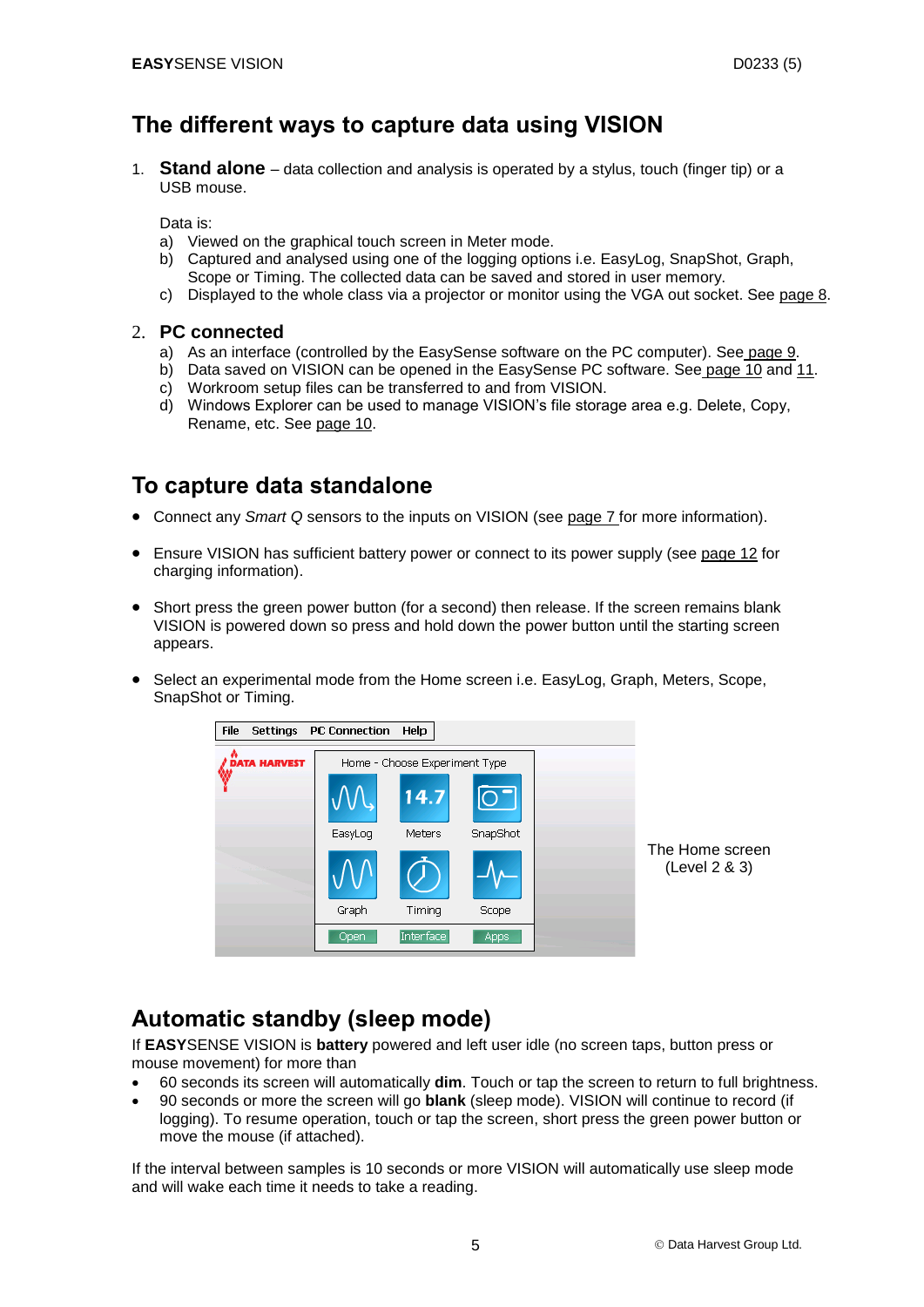## <span id="page-4-0"></span>**The different ways to capture data using VISION**

1. **Stand alone** – data collection and analysis is operated by a stylus, touch (finger tip) or a USB mouse.

Data is:

- a) Viewed on the graphical touch screen in Meter mode.
- b) Captured and analysed using one of the logging options i.e. EasyLog, SnapShot, Graph, Scope or Timing. The collected data can be saved and stored in user memory.
- c) Displayed to the whole class via a projector or monitor using the VGA out socket. See [page 8.](#page-7-1)

#### 2. **PC connected**

- a) As an interface (controlled by the EasySense software on the PC computer). See [page 9.](#page-9-0)
- b) Data saved on VISION can be opened in the EasySense PC software. See [page 10](#page-9-1) and [11.](#page-8-0)
- c) Workroom setup files can be transferred to and from VISION.
- d) Windows Explorer can be used to manage VISION's file storage area e.g. Delete, Copy, Rename, etc. See [page 10.](#page-9-1)

## <span id="page-4-1"></span>**To capture data standalone**

- Connect any *Smart Q* sensors to the inputs on VISION (see page 7 for more information).
- Ensure VISION has sufficient battery power or connect to its power supply (see [page 12](#page-11-5) for charging information).
- Short press the green power button (for a second) then release. If the screen remains blank VISION is powered down so press and hold down the power button until the starting screen appears.
- Select an experimental mode from the Home screen i.e. EasyLog, Graph, Meters, Scope, SnapShot or Timing.



## <span id="page-4-2"></span>**Automatic standby (sleep mode)**

If **EASY**SENSE VISION is **battery** powered and left user idle (no screen taps, button press or mouse movement) for more than

- 60 seconds its screen will automatically **dim**. Touch or tap the screen to return to full brightness.
- 90 seconds or more the screen will go **blank** (sleep mode). VISION will continue to record (if logging). To resume operation, touch or tap the screen, short press the green power button or move the mouse (if attached).

If the interval between samples is 10 seconds or more VISION will automatically use sleep mode and will wake each time it needs to take a reading.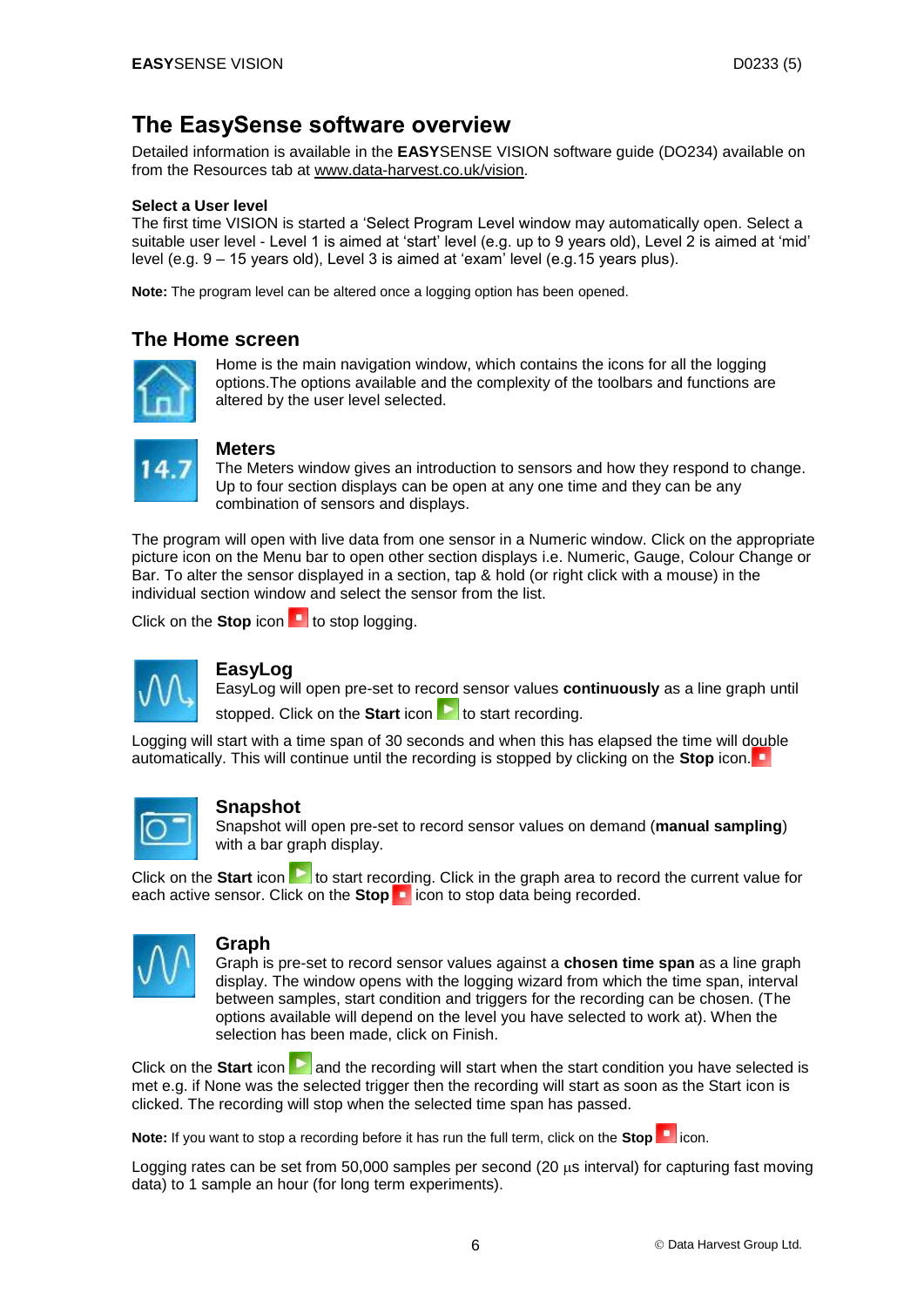## <span id="page-5-1"></span><span id="page-5-0"></span>**The EasySense software overview**

Detailed information is available in the **EASY**SENSE VISION software guide (DO234) available on from the Resources tab at [www.data-harvest.co.uk/vision.](http://www.dataharvest.co.uk/products.php?g=sci&ppg=sci&a=sec&ppa=sec&t=dl&code=2020)

#### **Select a User level**

The first time VISION is started a 'Select Program Level window may automatically open. Select a suitable user level - Level 1 is aimed at 'start' level (e.g. up to 9 years old), Level 2 is aimed at 'mid' level (e.g. 9 – 15 years old), Level 3 is aimed at 'exam' level (e.g.15 years plus).

**Note:** The program level can be altered once a logging option has been opened.

#### **The Home screen**



Home is the main navigation window, which contains the icons for all the logging options.The options available and the complexity of the toolbars and functions are altered by the user level selected.



#### **Meters**

The Meters window gives an introduction to sensors and how they respond to change. Up to four section displays can be open at any one time and they can be any combination of sensors and displays.

The program will open with live data from one sensor in a Numeric window. Click on the appropriate picture icon on the Menu bar to open other section displays i.e. Numeric, Gauge, Colour Change or Bar. To alter the sensor displayed in a section, tap & hold (or right click with a mouse) in the individual section window and select the sensor from the list.

Click on the **Stop** icon **that** to stop logging.



#### **EasyLog**

EasyLog will open pre-set to record sensor values **continuously** as a line graph until stopped. Click on the **Start** icon **the start** recording.

Logging will start with a time span of 30 seconds and when this has elapsed the time will double automatically. This will continue until the recording is stopped by clicking on the **Stop** icon.



#### **Snapshot**

Snapshot will open pre-set to record sensor values on demand (**manual sampling**) with a bar graph display.

Click on the **Start** icon **the start** recording. Click in the graph area to record the current value for each active sensor. Click on the **Stop <b>i** icon to stop data being recorded.



#### **Graph**

Graph is pre-set to record sensor values against a **chosen time span** as a line graph display. The window opens with the logging wizard from which the time span, interval between samples, start condition and triggers for the recording can be chosen. (The options available will depend on the level you have selected to work at). When the selection has been made, click on Finish.

Click on the **Start** icon **and the recording will start when the start condition you have selected is** met e.g. if None was the selected trigger then the recording will start as soon as the Start icon is clicked. The recording will stop when the selected time span has passed.

**Note:** If you want to stop a recording before it has run the full term, click on the Stop **in** icon.

Logging rates can be set from 50,000 samples per second (20 us interval) for capturing fast moving data) to 1 sample an hour (for long term experiments).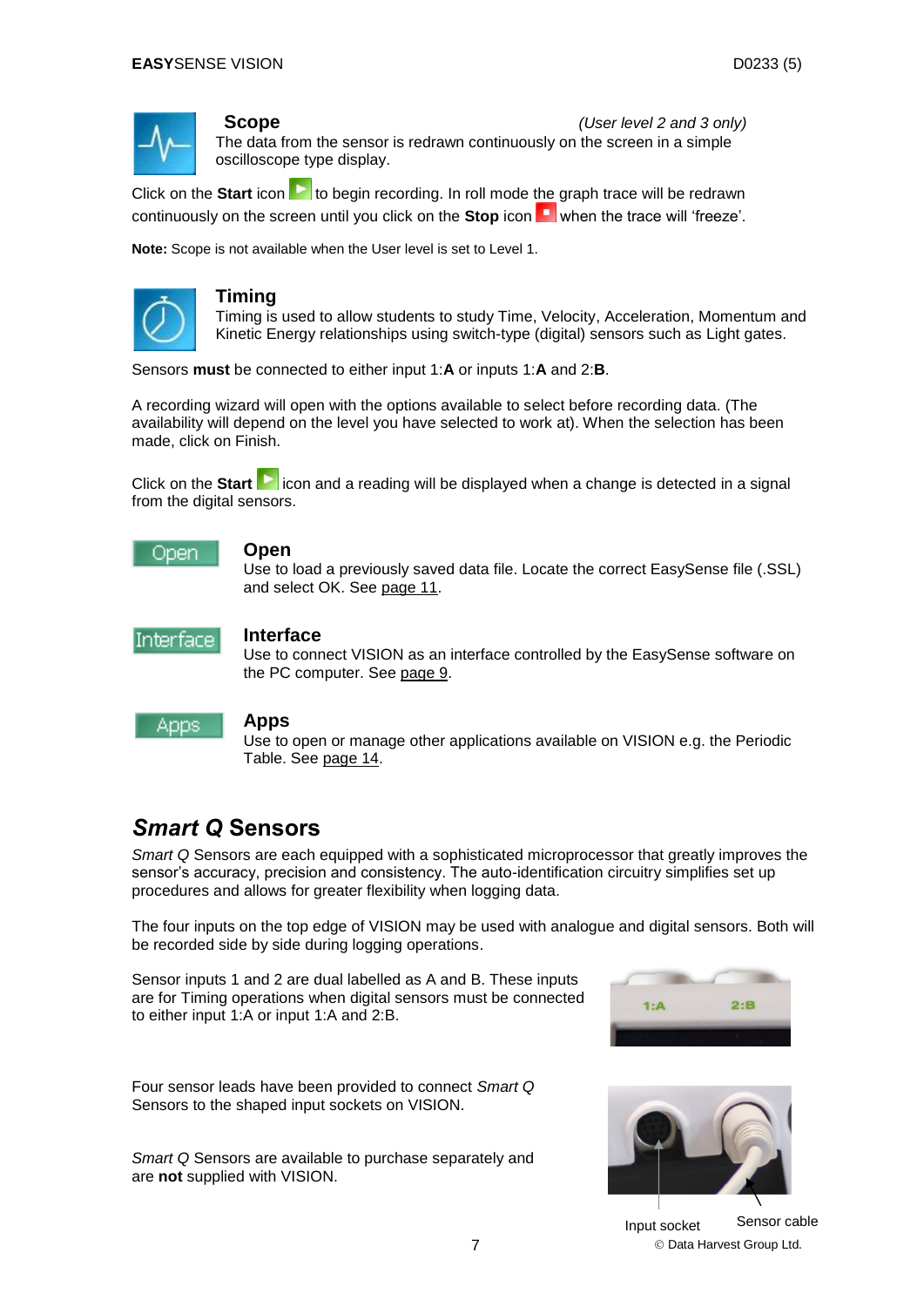

**Scope** *(User level 2 and 3 only)* The data from the sensor is redrawn continuously on the screen in a simple oscilloscope type display.

Click on the **Start** icon **but a** to begin recording. In roll mode the graph trace will be redrawn continuously on the screen until you click on the **Stop** icon **with the trace will 'freeze'**.

**Note:** Scope is not available when the User level is set to Level 1.



#### **Timing**

Timing is used to allow students to study Time, Velocity, Acceleration, Momentum and Kinetic Energy relationships using switch-type (digital) sensors such as Light gates.

Sensors **must** be connected to either input 1:**A** or inputs 1:**A** and 2:**B**.

A recording wizard will open with the options available to select before recording data. (The availability will depend on the level you have selected to work at). When the selection has been made, click on Finish.

Click on the **Start** incon and a reading will be displayed when a change is detected in a signal from the digital sensors.



#### **Open**

Use to load a previously saved data file. Locate the correct EasySense file (.SSL) and select OK. See page 11.



#### **Interface**

Use to connect VISION as an interface controlled by the EasySense software on the PC computer. See [page 9.](#page-9-0)



#### **Apps**

Use to open or manage other applications available on VISION e.g. the Periodic Table. See [page 14.](#page-13-0)

## <span id="page-6-0"></span>*Smart Q* **Sensors**

*Smart Q* Sensors are each equipped with a sophisticated microprocessor that greatly improves the sensor's accuracy, precision and consistency. The auto-identification circuitry simplifies set up procedures and allows for greater flexibility when logging data.

The four inputs on the top edge of VISION may be used with analogue and digital sensors. Both will be recorded side by side during logging operations.

Sensor inputs 1 and 2 are dual labelled as A and B. These inputs are for Timing operations when digital sensors must be connected to either input 1:A or input 1:A and 2:B.



Four sensor leads have been provided to connect *Smart Q* Sensors to the shaped input sockets on VISION.

*Smart Q* Sensors are available to purchase separately and are **not** supplied with VISION.



7 **Data Harvest Group Ltd.** Input socket Sensor cable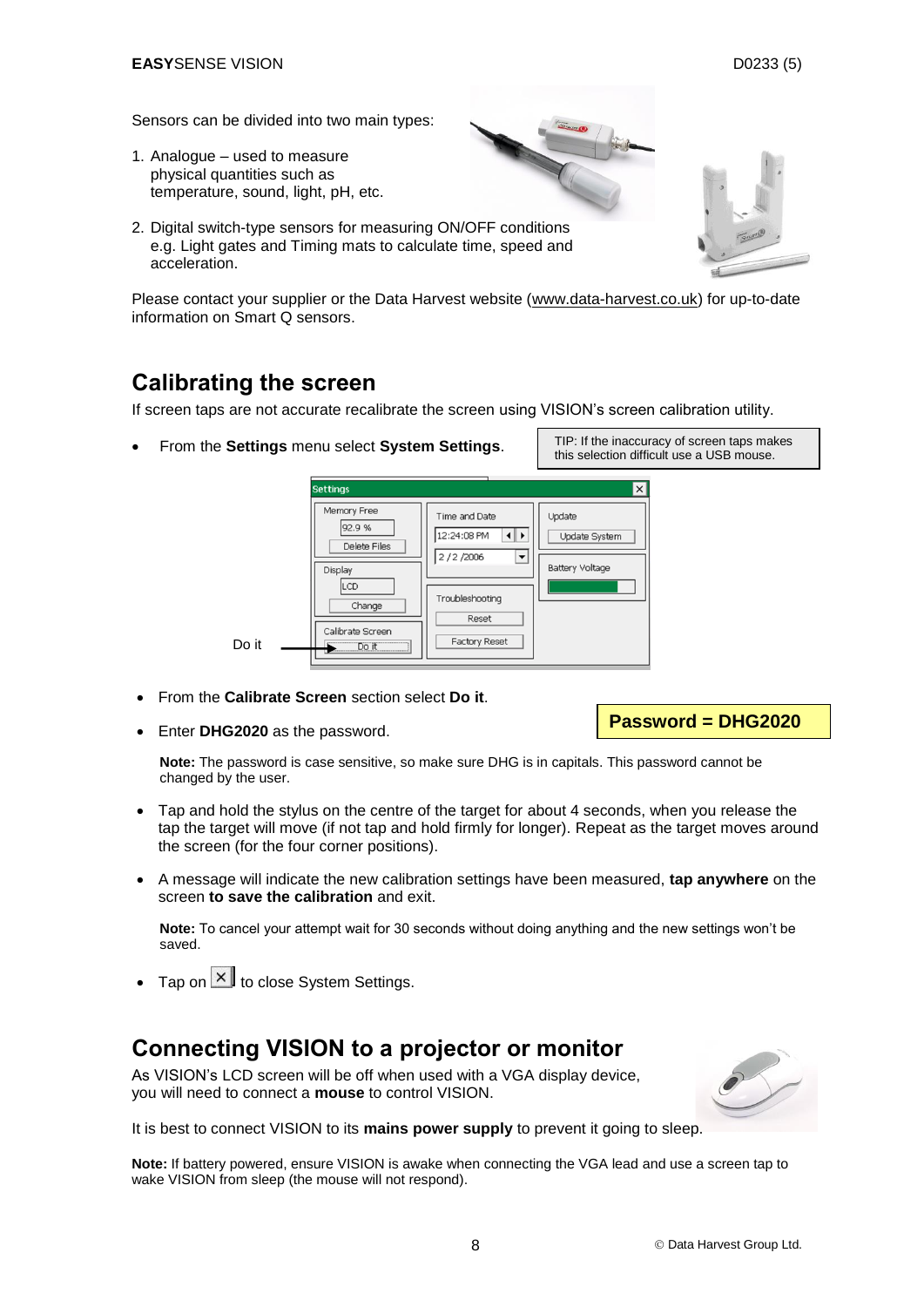<span id="page-7-1"></span>Sensors can be divided into two main types:

- 1. Analogue used to measure physical quantities such as temperature, sound, light, pH, etc.
- 2. Digital switch-type sensors for measuring ON/OFF conditions e.g. Light gates and Timing mats to calculate time, speed and acceleration.

Please contact your supplier or the Data Harvest website [\(www.data-harvest.co.uk\)](http://www.dataharvest.co.uk/products.php?g=sci&ppg=sci&a=sec&ppa=sec&t=sen&code=na&default=yes&mlev=7&show=7&title=Sensors) for up-to-date information on [Smart Q sensors.](http://www.dataharvest.co.uk/products.php?g=sci&ppg=sci&a=sec&ppa=sec&t=sen&code=na&default=yes&mlev=7&show=7&title=Sensors)

## <span id="page-7-0"></span>**Calibrating the screen**

If screen taps are not accurate recalibrate the screen using VISION's screen calibration utility.

From the **Settings** menu select **System Settings**.

**Settings** l x Memory Free Time and Date Undate 92.9 % 12:24:08 PM  $\left| \cdot \right|$ Update System Delete Files  $2/2/2006$ ⇂ **Battery Voltage** Display LCD Troubleshooting Change Reset Calibrate Screer **Factory Reset** Do it

- From the **Calibrate Screen** section select **Do it**.
- Enter **DHG2020** as the password.

Do it

**Password = DHG2020**

**Note:** The password is case sensitive, so make sure DHG is in capitals. This password cannot be changed by the user.

- Tap and hold the stylus on the centre of the target for about 4 seconds, when you release the tap the target will move (if not tap and hold firmly for longer). Repeat as the target moves around the screen (for the four corner positions).
- A message will indicate the new calibration settings have been measured, **tap anywhere** on the screen **to save the calibration** and exit.

**Note:** To cancel your attempt wait for 30 seconds without doing anything and the new settings won't be saved.

Tap on  $\overline{\times}$  to close System Settings.

## **Connecting VISION to a projector or monitor**

As VISION's LCD screen will be off when used with a VGA display device, you will need to connect a **mouse** to control VISION.



It is best to connect VISION to its **mains power supply** to prevent it going to sleep.

**Note:** If battery powered, ensure VISION is awake when connecting the VGA lead and use a screen tap to wake VISION from sleep (the mouse will not respond).

TIP: If the inaccuracy of screen taps makes this selection difficult use a USB mouse.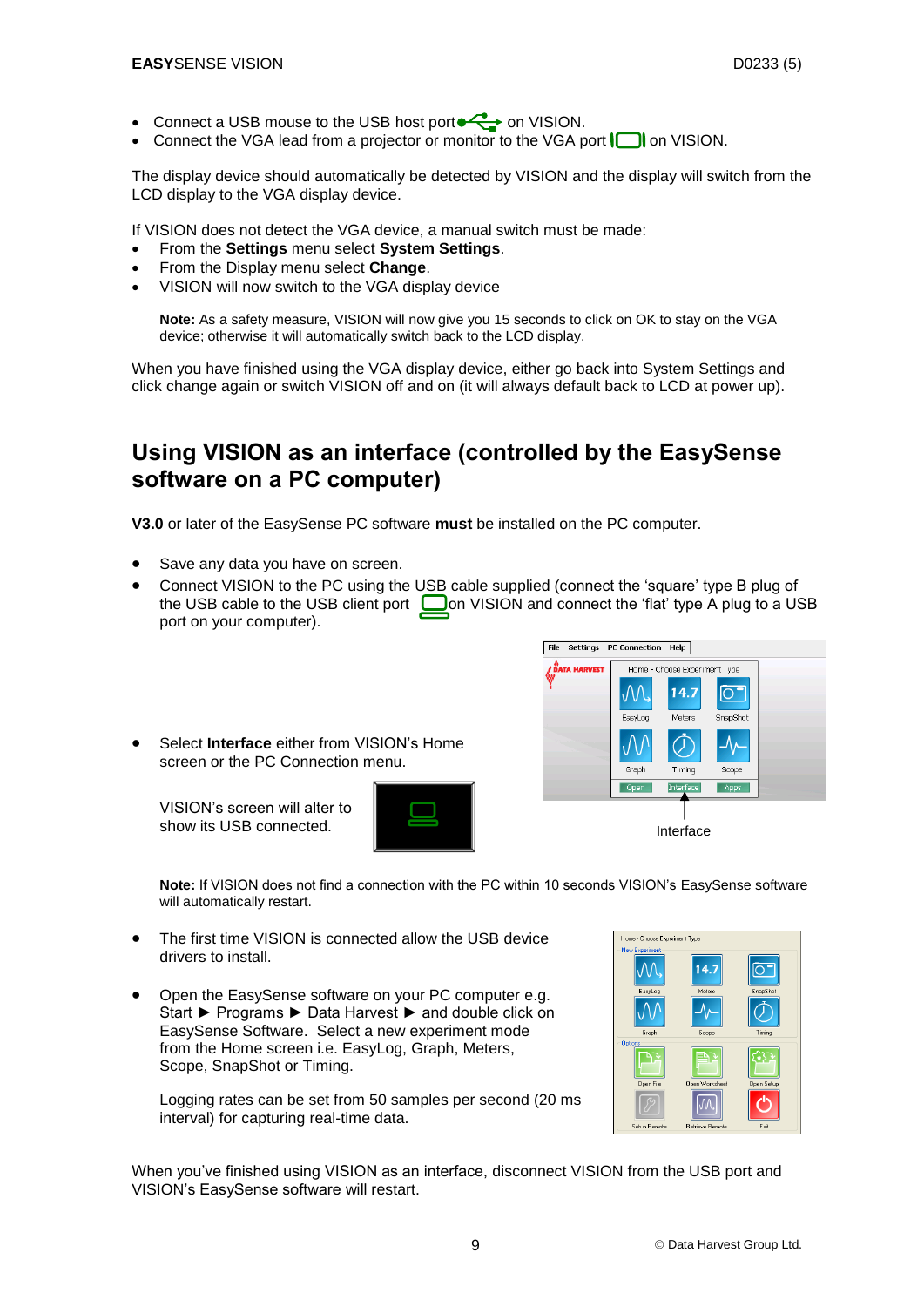- Connect a USB mouse to the USB host port  $\leftrightarrow$  on VISION.
- Connect the VGA lead from a projector or monitor to the VGA port  $\Box$  on VISION.

The display device should automatically be detected by VISION and the display will switch from the LCD display to the VGA display device.

If VISION does not detect the VGA device, a manual switch must be made:

- From the **Settings** menu select **System Settings**.
- From the Display menu select **Change**.
- VISION will now switch to the VGA display device

**Note:** As a safety measure, VISION will now give you 15 seconds to click on OK to stay on the VGA device; otherwise it will automatically switch back to the LCD display.

When you have finished using the VGA display device, either go back into System Settings and click change again or switch VISION off and on (it will always default back to LCD at power up).

## <span id="page-8-0"></span>**Using VISION as an interface (controlled by the EasySense software on a PC computer)**

**V3.0** or later of the EasySense PC software **must** be installed on the PC computer.

- Save any data you have on screen.
- Connect VISION to the PC using the USB cable supplied (connect the 'square' type B plug of the USB cable to the USB client port  $\Box$  on VISION and connect the 'flat' type A plug to a USB port on your computer).





VISION's screen will alter to show its USB connected.

Select **Interface** either from VISION's Home

screen or the PC Connection menu.



- The first time VISION is connected allow the USB device drivers to install.
- Open the EasySense software on your PC computer e.g. Start ► Programs ► Data Harvest ► and double click on EasySense Software. Select a new experiment mode from the Home screen i.e. EasyLog, Graph, Meters, Scope, SnapShot or Timing.

Logging rates can be set from 50 samples per second (20 ms interval) for capturing real-time data.



When you've finished using VISION as an interface, disconnect VISION from the USB port and VISION's EasySense software will restart.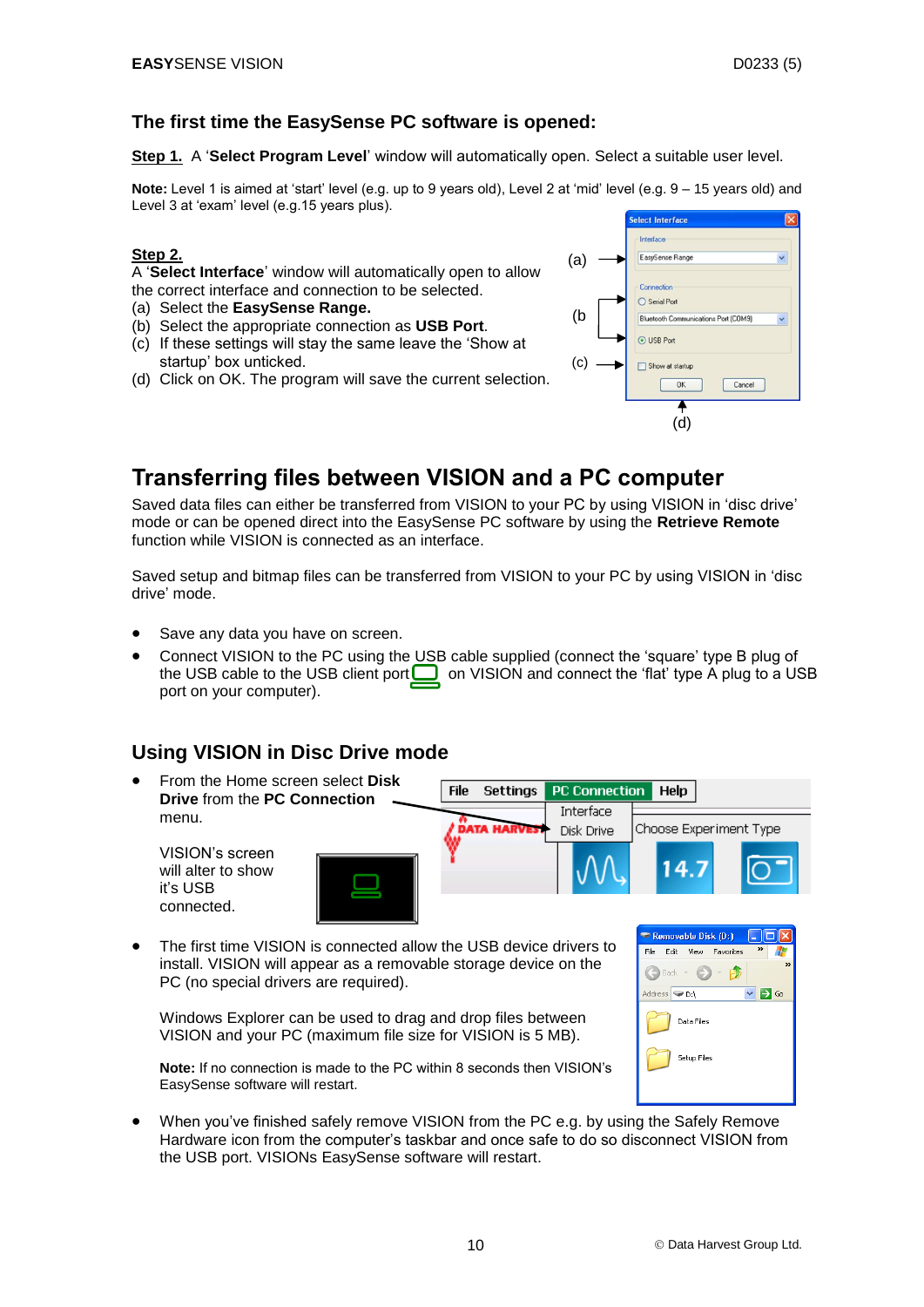#### **The first time the EasySense PC software is opened:**

**Step 1.** A '**Select Program Level**' window will automatically open. Select a suitable user level.

**Note:** Level 1 is aimed at 'start' level (e.g. up to 9 years old), Level 2 at 'mid' level (e.g. 9 – 15 years old) and Level 3 at 'exam' level (e.g.15 years plus).

#### **Step 2.**

A '**Select Interface**' window will automatically open to allow the correct interface and connection to be selected.

- (a) Select the **EasySense Range.**
- (b) Select the appropriate connection as **USB Port**.
- (c) If these settings will stay the same leave the 'Show at startup' box unticked.
- (d) Click on OK. The program will save the current selection.



## <span id="page-9-0"></span>**Transferring files between VISION and a PC computer**

Saved data files can either be transferred from VISION to your PC by using VISION in 'disc drive' mode or can be opened direct into the EasySense PC software by using the **Retrieve Remote** function while VISION is connected as an interface.

Saved setup and bitmap files can be transferred from VISION to your PC by using VISION in 'disc drive' mode.

- Save any data you have on screen.
- Connect VISION to the PC using the USB cable supplied (connect the 'square' type B plug of the USB cable to the USB client port  $\Box$  on VISION and connect the 'flat' type A plug to a USB port on your computer).

## <span id="page-9-1"></span>**Using VISION in Disc Drive mode**

- From the Home screen select **Disk**  File **Settings PC Connection Help Drive** from the **PC Connection**  Interface menu. Choose Experiment Type Disk Drive VISION's screen will alter to show it's USB connected.
- The first time VISION is connected allow the USB device drivers to install. VISION will appear as a removable storage device on the PC (no special drivers are required).

Windows Explorer can be used to drag and drop files between VISION and your PC (maximum file size for VISION is 5 MB).

| Removable Disk (D:)<br>L.                                                                                                                               |
|---------------------------------------------------------------------------------------------------------------------------------------------------------|
| $\rightarrow$<br>File<br>Edit View Favorites                                                                                                            |
| $\rightarrow$<br>$\rightarrow$<br>$\left(\begin{array}{ccc} \bullet & \bullet \\ \bullet & \bullet \end{array}\right)$ Back $\rightarrow$<br>$\epsilon$ |
| Address <b>D:\</b><br>Go                                                                                                                                |
| Data Files                                                                                                                                              |
| Setup Files                                                                                                                                             |
|                                                                                                                                                         |

**Note:** If no connection is made to the PC within 8 seconds then VISION's EasySense software will restart.

 When you've finished safely remove VISION from the PC e.g. by using the Safely Remove Hardware icon from the computer's taskbar and once safe to do so disconnect VISION from the USB port. VISIONs EasySense software will restart.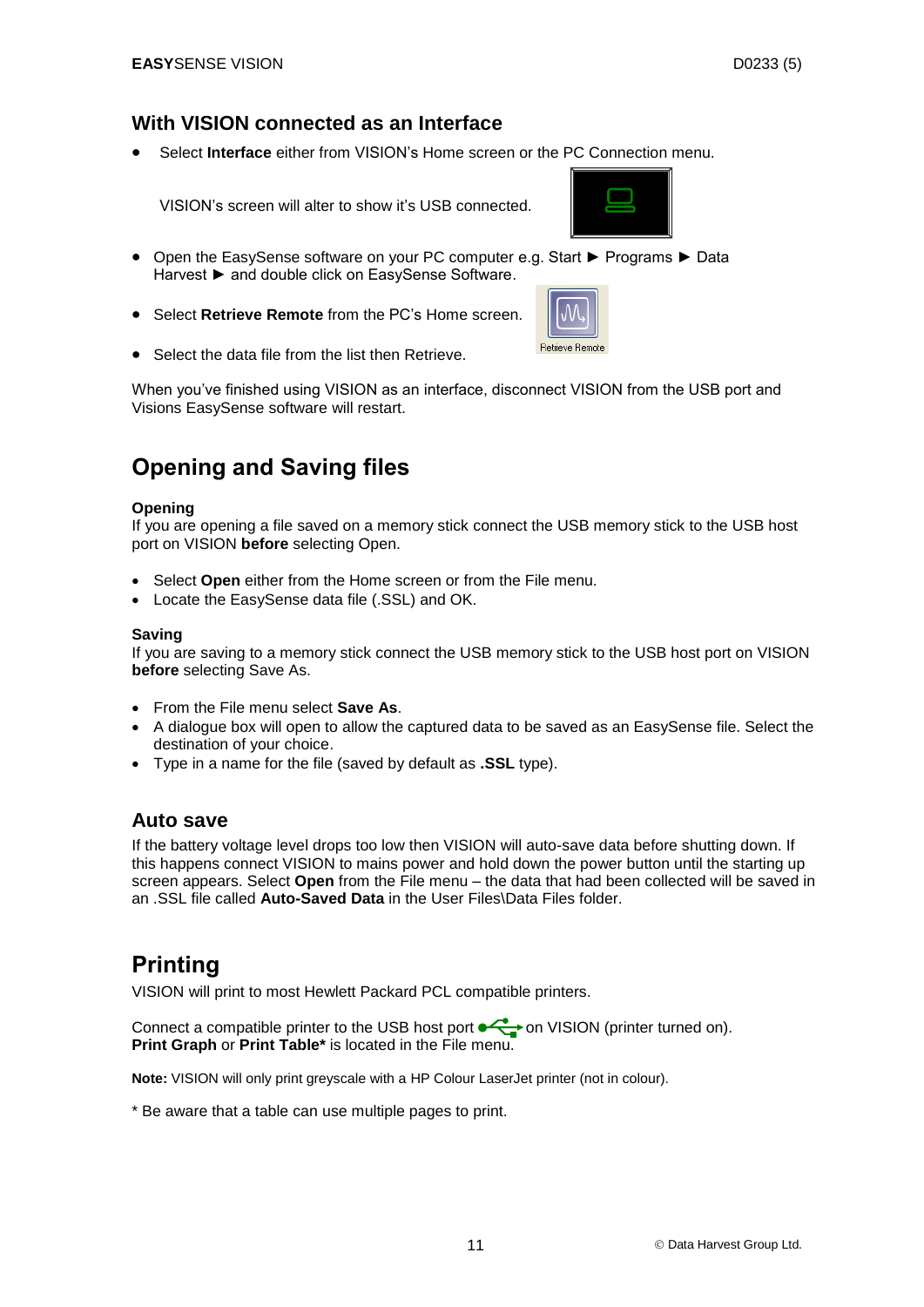#### <span id="page-10-0"></span>**With VISION connected as an Interface**

Select **Interface** either from VISION's Home screen or the PC Connection menu.

VISION's screen will alter to show it's USB connected.



- Open the EasySense software on your PC computer e.g. Start ► Programs ► Data Harvest ► and double click on EasySense Software.
- Select **Retrieve Remote** from the PC's Home screen.



• Select the data file from the list then Retrieve

When you've finished using VISION as an interface, disconnect VISION from the USB port and Visions EasySense software will restart.

## <span id="page-10-1"></span>**Opening and Saving files**

#### **Opening**

If you are opening a file saved on a memory stick connect the USB memory stick to the USB host port on VISION **before** selecting Open.

- Select **Open** either from the Home screen or from the File menu.
- Locate the EasySense data file (.SSL) and OK.

#### **Saving**

If you are saving to a memory stick connect the USB memory stick to the USB host port on VISION **before** selecting Save As.

- From the File menu select **Save As**.
- A dialogue box will open to allow the captured data to be saved as an EasySense file. Select the destination of your choice.
- Type in a name for the file (saved by default as **.SSL** type).

#### <span id="page-10-2"></span>**Auto save**

If the battery voltage level drops too low then VISION will auto-save data before shutting down. If this happens connect VISION to mains power and hold down the power button until the starting up screen appears. Select **Open** from the File menu – the data that had been collected will be saved in an .SSL file called **Auto-Saved Data** in the User Files\Data Files folder.

## <span id="page-10-3"></span>**Printing**

VISION will print to most Hewlett Packard PCL compatible printers.

Connect a compatible printer to the USB host port  $\overline{\bullet}$  on VISION (printer turned on). **Print Graph** or **Print Table\*** is located in the File menu.

**Note:** VISION will only print greyscale with a HP Colour LaserJet printer (not in colour).

\* Be aware that a table can use multiple pages to print.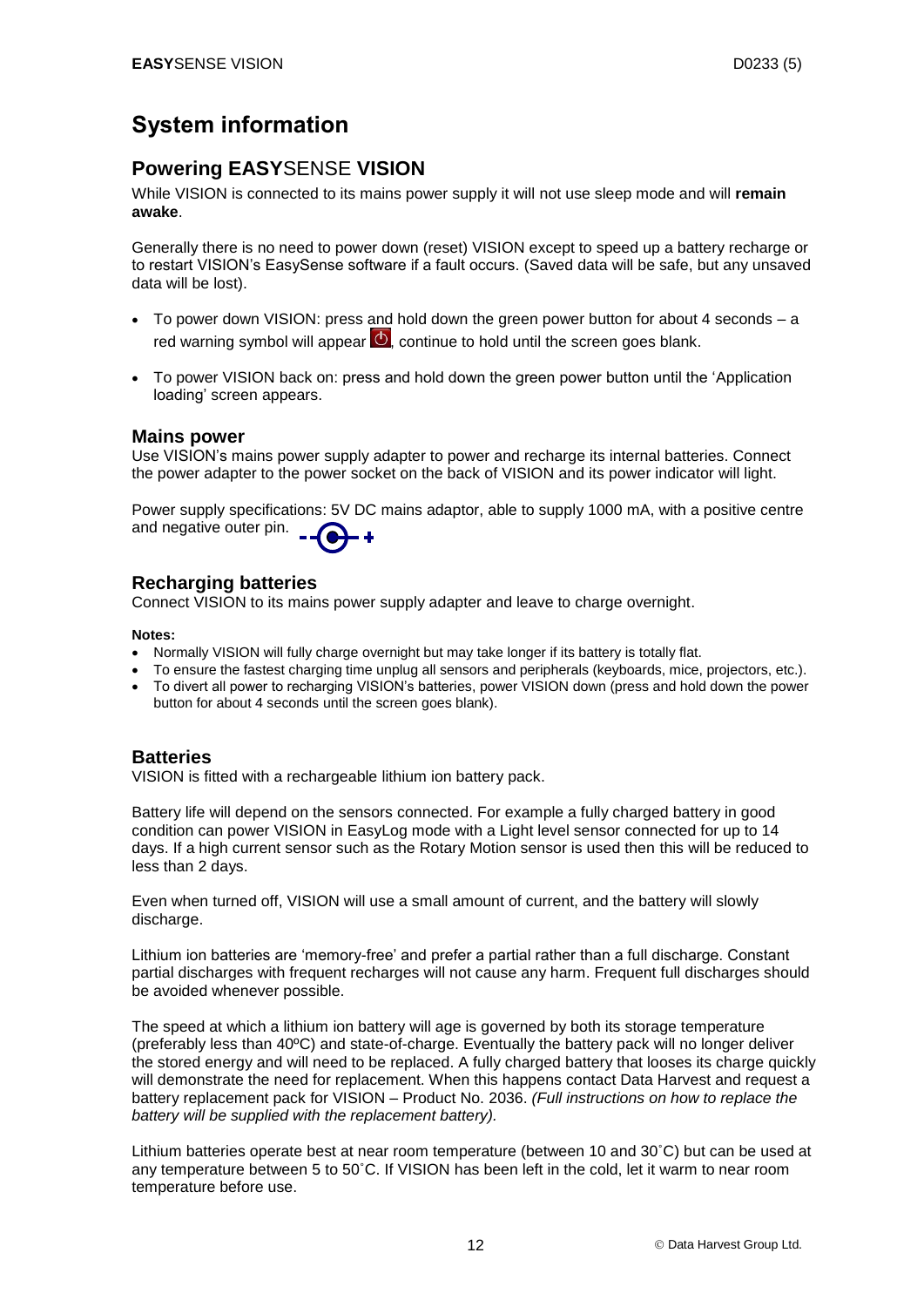## <span id="page-11-0"></span>**System information**

#### <span id="page-11-1"></span>**Powering EASY**SENSE **VISION**

While VISION is connected to its mains power supply it will not use sleep mode and will **remain awake**.

Generally there is no need to power down (reset) VISION except to speed up a battery recharge or to restart VISION's EasySense software if a fault occurs. (Saved data will be safe, but any unsaved data will be lost).

- To power down VISION: press and hold down the green power button for about 4 seconds a red warning symbol will appear  $\mathcal O$ , continue to hold until the screen goes blank.
- To power VISION back on: press and hold down the green power button until the 'Application loading' screen appears.

#### <span id="page-11-2"></span>**Mains power**

Use VISION's mains power supply adapter to power and recharge its internal batteries. Connect the power adapter to the power socket on the back of VISION and its power indicator will light.

Power supply specifications: 5V DC mains adaptor, able to supply 1000 mA, with a positive centre and negative outer pin.

#### <span id="page-11-5"></span><span id="page-11-3"></span>**Recharging batteries**

Connect VISION to its mains power supply adapter and leave to charge overnight.

#### **Notes:**

- Normally VISION will fully charge overnight but may take longer if its battery is totally flat.
- To ensure the fastest charging time unplug all sensors and peripherals (keyboards, mice, projectors, etc.).
- To divert all power to recharging VISION's batteries, power VISION down (press and hold down the power button for about 4 seconds until the screen goes blank).

#### <span id="page-11-4"></span>**Batteries**

VISION is fitted with a rechargeable lithium ion battery pack.

Battery life will depend on the sensors connected. For example a fully charged battery in good condition can power VISION in EasyLog mode with a Light level sensor connected for up to 14 days. If a high current sensor such as the Rotary Motion sensor is used then this will be reduced to less than 2 days.

Even when turned off, VISION will use a small amount of current, and the battery will slowly discharge.

Lithium ion batteries are 'memory-free' and prefer a partial rather than a full discharge. Constant partial discharges with frequent recharges will not cause any harm. Frequent full discharges should be avoided whenever possible.

The speed at which a lithium ion battery will age is governed by both its storage temperature (preferably less than 40ºC) and state-of-charge. Eventually the battery pack will no longer deliver the stored energy and will need to be replaced. A fully charged battery that looses its charge quickly will demonstrate the need for replacement. When this happens contact Data Harvest and request a battery replacement pack for VISION – Product No. 2036. *(Full instructions on how to replace the battery will be supplied with the replacement battery).*

Lithium batteries operate best at near room temperature (between 10 and 30˚C) but can be used at any temperature between 5 to 50˚C. If VISION has been left in the cold, let it warm to near room temperature before use.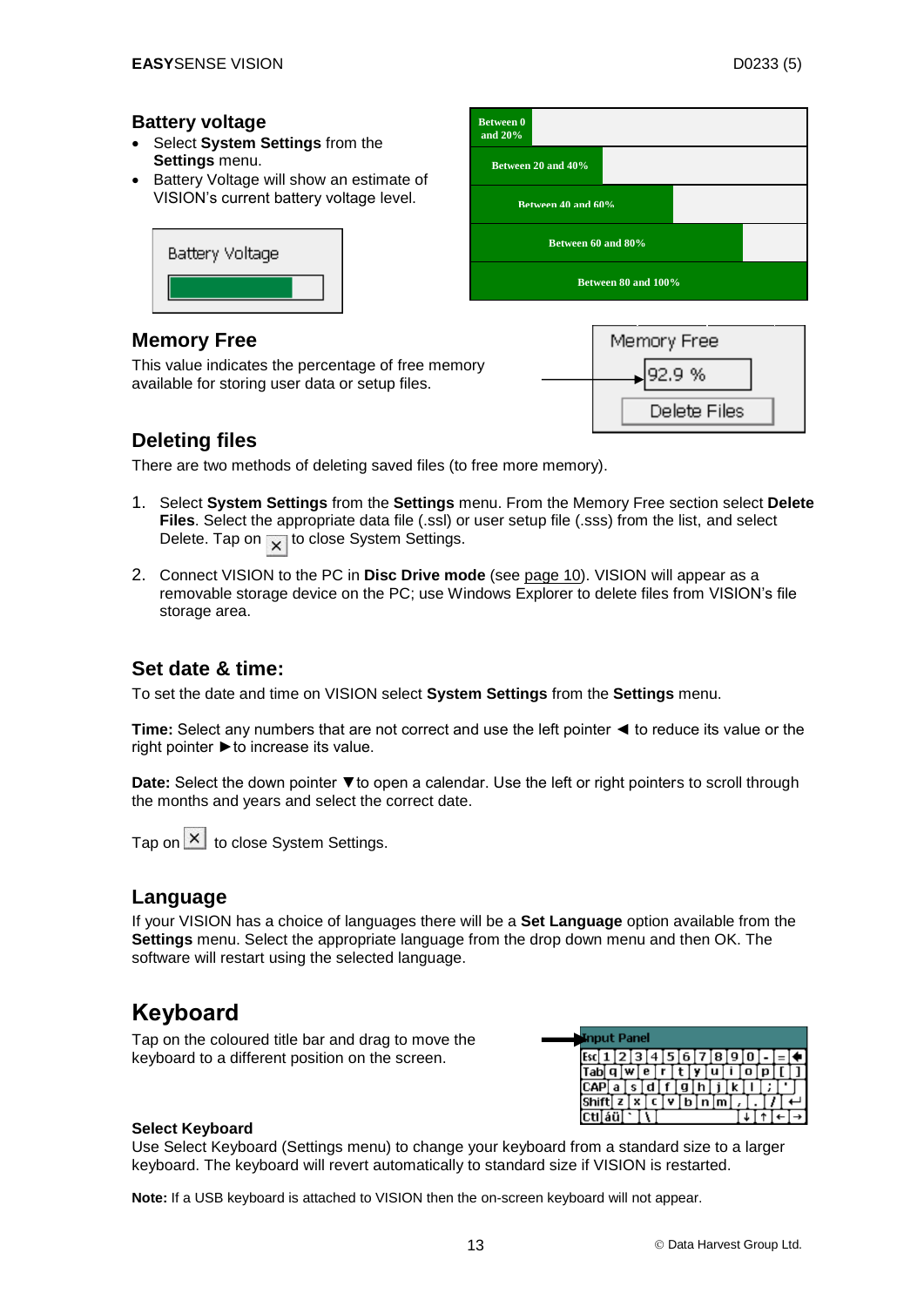#### <span id="page-12-0"></span>**Battery voltage**

- Select **System Settings** from the **Settings** menu.
- Battery Voltage will show an estimate of VISION's current battery voltage level.



#### **Memory Free**

This value indicates the percentage of free memory available for storing user data or setup files.





#### <span id="page-12-1"></span>**Deleting files**

There are two methods of deleting saved files (to free more memory).

- 1. Select **System Settings** from the **Settings** menu. From the Memory Free section select **Delete Files**. Select the appropriate data file (.ssl) or user setup file (.sss) from the list, and select Delete. Tap on  $\sqrt{\ }$  to close System Settings.
- 2. Connect VISION to the PC in **Disc Drive mode** (see [page 10\)](#page-9-1). VISION will appear as a removable storage device on the PC; use Windows Explorer to delete files from VISION's file storage area.

## <span id="page-12-2"></span>**Set date & time:**

To set the date and time on VISION select **System Settings** from the **Settings** menu.

**Time:** Select any numbers that are not correct and use the left pointer ◄ to reduce its value or the right pointer  $\blacktriangleright$  to increase its value.

Date: Select the down pointer ▼to open a calendar. Use the left or right pointers to scroll through the months and years and select the correct date.

Tap on  $\mathbf{X}$  to close System Settings.

#### <span id="page-12-3"></span>**Language**

If your VISION has a choice of languages there will be a **Set Language** option available from the **Settings** menu. Select the appropriate language from the drop down menu and then OK. The software will restart using the selected language.

## **Keyboard**

Tap on the coloured title bar and drag to move the keyboard to a different position on the screen.



#### **Select Keyboard**

Use Select Keyboard (Settings menu) to change your keyboard from a standard size to a larger keyboard. The keyboard will revert automatically to standard size if VISION is restarted.

**Note:** If a USB keyboard is attached to VISION then the on-screen keyboard will not appear.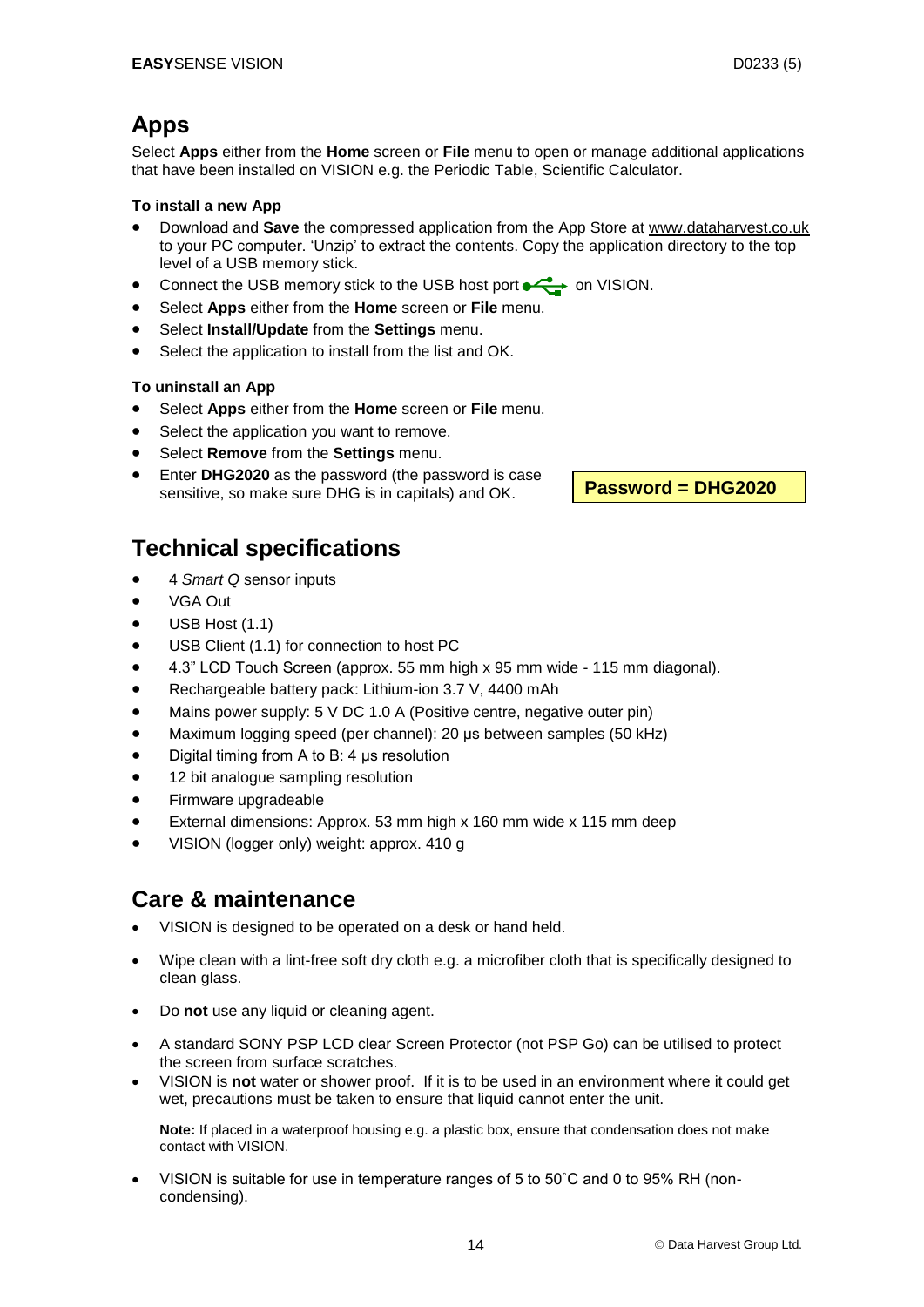## <span id="page-13-0"></span>**Apps**

Select **Apps** either from the **Home** screen or **File** menu to open or manage additional applications that have been installed on VISION e.g. the Periodic Table, Scientific Calculator.

#### **To install a new App**

- Download and **Save** the compressed application from the App Store at [www.dataharvest.co.uk](http://www.dataharvest.co.uk/) to your PC computer. 'Unzip' to extract the contents. Copy the application directory to the top level of a USB memory stick.
- Connect the USB memory stick to the USB host port  $\leftrightarrow$  on VISION.
- Select **Apps** either from the **Home** screen or **File** menu.
- Select **Install/Update** from the **Settings** menu.
- Select the application to install from the list and OK.

#### **To uninstall an App**

- Select **Apps** either from the **Home** screen or **File** menu.
- Select the application you want to remove.
- Select **Remove** from the **Settings** menu.
- Enter **DHG2020** as the password (the password is case sensitive, so make sure DHG is in capitals) and OK.

**Password = DHG2020**

## <span id="page-13-1"></span>**Technical specifications**

- 4 *Smart Q* sensor inputs
- VGA Out
- USB Host (1.1)
- USB Client (1.1) for connection to host PC
- 4.3" LCD Touch Screen (approx. 55 mm high x 95 mm wide 115 mm diagonal).
- Rechargeable battery pack: Lithium-ion 3.7 V, 4400 mAh
- Mains power supply: 5 V DC 1.0 A (Positive centre, negative outer pin)
- Maximum logging speed (per channel): 20 μs between samples (50 kHz)
- Digital timing from A to B: 4 μs resolution
- 12 bit analogue sampling resolution
- Firmware upgradeable
- External dimensions: Approx. 53 mm high x 160 mm wide x 115 mm deep
- VISION (logger only) weight: approx. 410 g

## <span id="page-13-2"></span>**Care & maintenance**

- VISION is designed to be operated on a desk or hand held.
- Wipe clean with a lint-free soft dry cloth e.g. a microfiber cloth that is specifically designed to clean glass.
- Do **not** use any liquid or cleaning agent.
- A standard SONY PSP LCD clear Screen Protector (not PSP Go) can be utilised to protect the screen from surface scratches.
- VISION is **not** water or shower proof. If it is to be used in an environment where it could get wet, precautions must be taken to ensure that liquid cannot enter the unit.

**Note:** If placed in a waterproof housing e.g. a plastic box, ensure that condensation does not make contact with VISION.

 VISION is suitable for use in temperature ranges of 5 to 50˚C and 0 to 95% RH (noncondensing).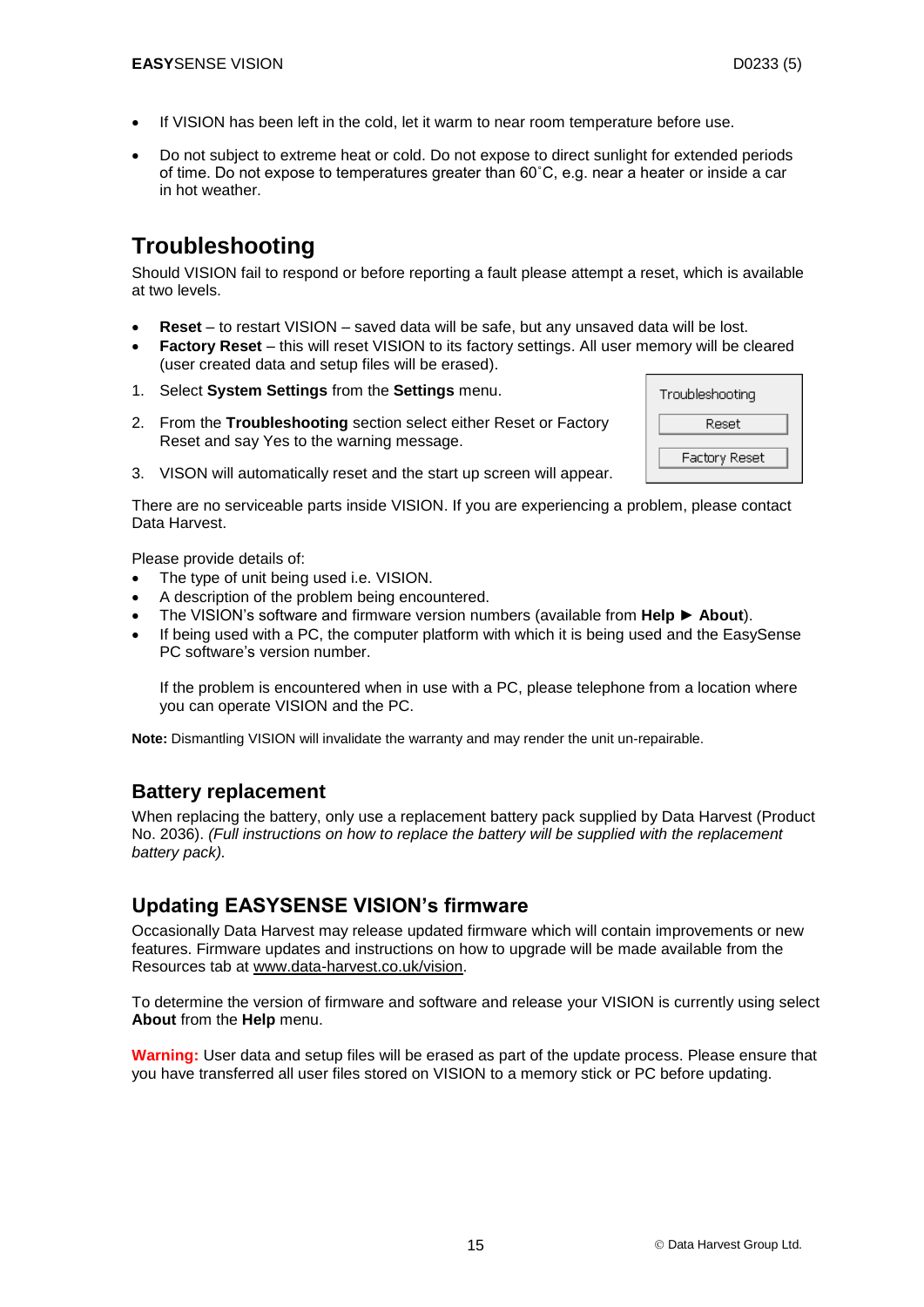- If VISION has been left in the cold, let it warm to near room temperature before use.
- Do not subject to extreme heat or cold. Do not expose to direct sunlight for extended periods of time. Do not expose to temperatures greater than 60˚C, e.g. near a heater or inside a car in hot weather.

## <span id="page-14-0"></span>**Troubleshooting**

Should VISION fail to respond or before reporting a fault please attempt a reset, which is available at two levels.

- **Reset** to restart VISION saved data will be safe, but any unsaved data will be lost.
- **Factory Reset** this will reset VISION to its factory settings. All user memory will be cleared (user created data and setup files will be erased).
- 1. Select **System Settings** from the **Settings** menu.
- 2. From the **Troubleshooting** section select either Reset or Factory Reset and say Yes to the warning message.



3. VISON will automatically reset and the start up screen will appear.

There are no serviceable parts inside VISION. If you are experiencing a problem, please contact Data Harvest.

Please provide details of:

- The type of unit being used i.e. VISION.
- A description of the problem being encountered.
- The VISION's software and firmware version numbers (available from **Help ► About**).
- If being used with a PC, the computer platform with which it is being used and the EasySense PC software's version number.

If the problem is encountered when in use with a PC, please telephone from a location where you can operate VISION and the PC.

**Note:** Dismantling VISION will invalidate the warranty and may render the unit un-repairable.

#### <span id="page-14-1"></span>**Battery replacement**

When replacing the battery, only use a replacement battery pack supplied by Data Harvest (Product No. 2036). *(Full instructions on how to replace the battery will be supplied with the replacement battery pack).*

## <span id="page-14-2"></span>**Updating EASYSENSE VISION's firmware**

Occasionally Data Harvest may release updated firmware which will contain improvements or new features. Firmware updates and instructions on how to upgrade will be made available from the Resources tab at [www.data-harvest.co.uk/vision.](http://www.dataharvest.co.uk/products.php?g=sci&ppg=sci&a=sec&ppa=sec&t=dl&code=2020)

To determine the version of firmware and software and release your VISION is currently using select **About** from the **Help** menu.

**Warning:** User data and setup files will be erased as part of the update process. Please ensure that you have transferred all user files stored on VISION to a memory stick or PC before updating.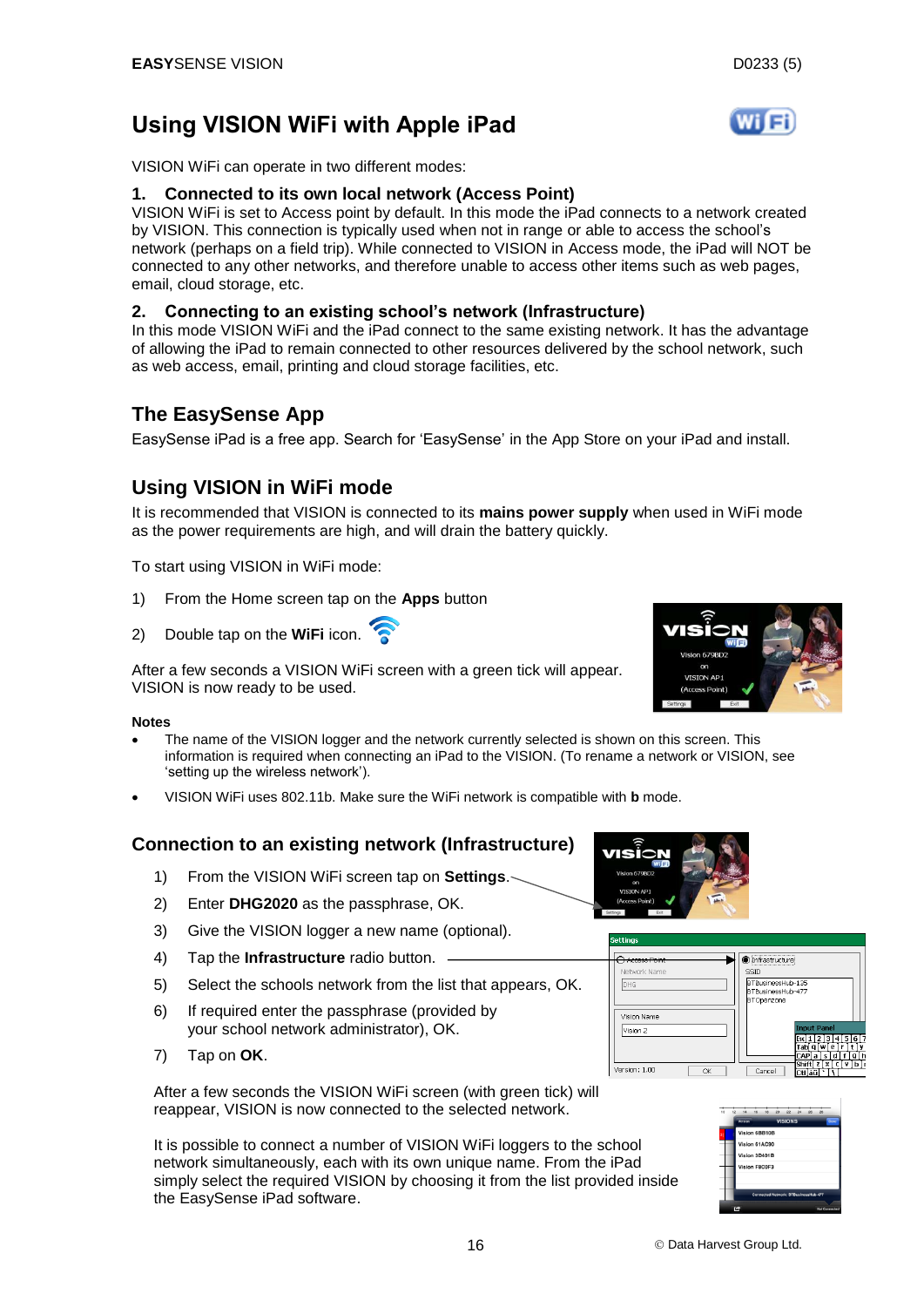## <span id="page-15-0"></span>**Using VISION WiFi with Apple iPad**

VISION WiFi can operate in two different modes:

#### **1. Connected to its own local network (Access Point)**

VISION WiFi is set to Access point by default. In this mode the iPad connects to a network created by VISION. This connection is typically used when not in range or able to access the school's network (perhaps on a field trip). While connected to VISION in Access mode, the iPad will NOT be connected to any other networks, and therefore unable to access other items such as web pages, email, cloud storage, etc.

#### **2. Connecting to an existing school's network (Infrastructure)**

In this mode VISION WiFi and the iPad connect to the same existing network. It has the advantage of allowing the iPad to remain connected to other resources delivered by the school network, such as web access, email, printing and cloud storage facilities, etc.

#### <span id="page-15-1"></span>**The EasySense App**

EasySense iPad is a free app. Search for 'EasySense' in the App Store on your iPad and install.

## <span id="page-15-2"></span>**Using VISION in WiFi mode**

It is recommended that VISION is connected to its **mains power supply** when used in WiFi mode as the power requirements are high, and will drain the battery quickly.

To start using VISION in WiFi mode:

- 1) From the Home screen tap on the **Apps** button
- 2) Double tap on the **WiFi** icon.

After a few seconds a VISION WiFi screen with a green tick will appear. VISION is now ready to be used.

#### **Notes**

- The name of the VISION logger and the network currently selected is shown on this screen. This information is required when connecting an iPad to the VISION. (To rename a network or VISION, see 'setting up the wireless network').
- VISION WiFi uses 802.11b. Make sure the WiFi network is compatible with **b** mode.

#### **Connection to an existing network (Infrastructure)**

- 1) From the VISION WiFi screen tap on **Settings**.
- 2) Enter **DHG2020** as the passphrase, OK.
- 3) Give the VISION logger a new name (optional).
- 4) Tap the **Infrastructure** radio button.
- 5) Select the schools network from the list that appears, OK.
- 6) If required enter the passphrase (provided by your school network administrator), OK.
- 7) Tap on **OK**.

After a few seconds the VISION WiFi screen (with green tick) will reappear, VISION is now connected to the selected network.

It is possible to connect a number of VISION WiFi loggers to the school network simultaneously, each with its own unique name. From the iPad simply select the required VISION by choosing it from the list provided inside the EasySense iPad software.



| nnan Daimh          | <br>) Infrastructure                                                                 |
|---------------------|--------------------------------------------------------------------------------------|
| Network Name        | SSID                                                                                 |
| DHG                 | BTBusinessHub-135<br><b>BTBusinessHuh-477</b><br>BTOpenzone                          |
| Vision Name         |                                                                                      |
| Vision 2            | <b>Input Panel</b><br>4 5<br>l 6<br>з<br>ſab<br>w<br>e<br>a                          |
| Version: 1.00<br>OK | CAP<br>d<br>a<br>s<br>a<br>×<br>r.<br>7<br>v<br>Shift<br>Cancel<br>Dtiláü<br>$\cdot$ |



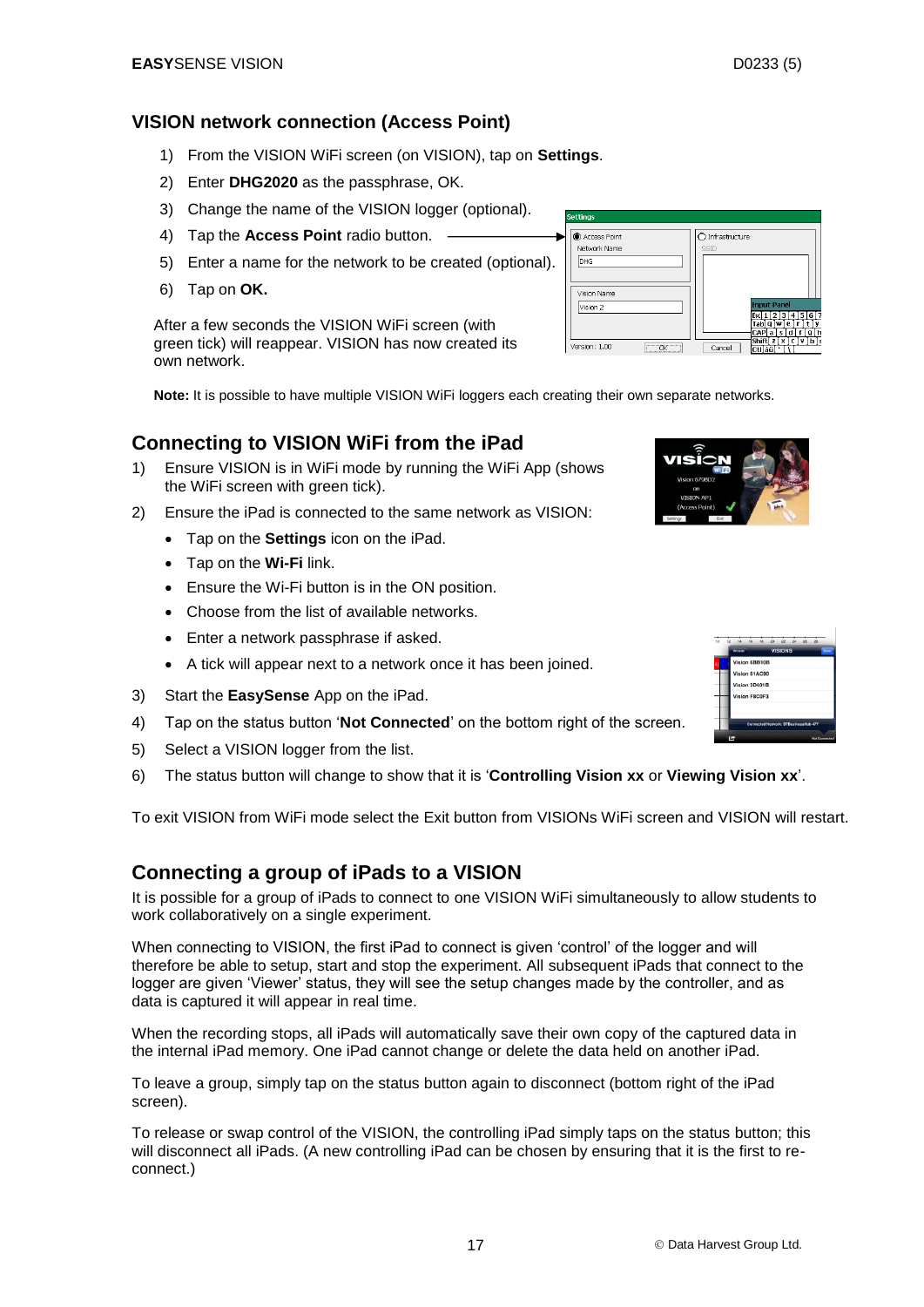# <span id="page-16-1"></span><span id="page-16-0"></span>**VISION network connection (Access Point)**

- 1) From the VISION WiFi screen (on VISION), tap on **Settings**.
- 2) Enter **DHG2020** as the passphrase, OK.
- 3) Change the name of the VISION logger (optional).
- 4) Tap the **Access Point** radio button.
- 5) Enter a name for the network to be created (optional).
- 6) Tap on **OK.**

After a few seconds the VISION WiFi screen (with green tick) will reappear. VISION has now created its own network.

**Note:** It is possible to have multiple VISION WiFi loggers each creating their own separate networks.

#### **Connecting to VISION WiFi from the iPad**

- 1) Ensure VISION is in WiFi mode by running the WiFi App (shows the WiFi screen with green tick).
- 2) Ensure the iPad is connected to the same network as VISION:
	- Tap on the **Settings** icon on the iPad.
		- Tap on the **Wi-Fi** link.
		- Ensure the Wi-Fi button is in the ON position.
		- Choose from the list of available networks.
		- Enter a network passphrase if asked.
	- A tick will appear next to a network once it has been joined.
- 3) Start the **EasySense** App on the iPad.
- 4) Tap on the status button '**Not Connected**' on the bottom right of the screen.
- 5) Select a VISION logger from the list.
- 6) The status button will change to show that it is '**Controlling Vision xx** or **Viewing Vision xx**'.

To exit VISION from WiFi mode select the Exit button from VISIONs WiFi screen and VISION will restart.

#### <span id="page-16-2"></span>**Connecting a group of iPads to a VISION**

It is possible for a group of iPads to connect to one VISION WiFi simultaneously to allow students to work collaboratively on a single experiment.

When connecting to VISION, the first iPad to connect is given 'control' of the logger and will therefore be able to setup, start and stop the experiment. All subsequent iPads that connect to the logger are given 'Viewer' status, they will see the setup changes made by the controller, and as data is captured it will appear in real time.

When the recording stops, all iPads will automatically save their own copy of the captured data in the internal iPad memory. One iPad cannot change or delete the data held on another iPad.

To leave a group, simply tap on the status button again to disconnect (bottom right of the iPad screen).

To release or swap control of the VISION, the controlling iPad simply taps on the status button; this will disconnect all iPads. (A new controlling iPad can be chosen by ensuring that it is the first to reconnect.)





| <b>Settings</b>                             |                                                                                                                               |
|---------------------------------------------|-------------------------------------------------------------------------------------------------------------------------------|
| Access Point<br>Network Name<br><b>IDHG</b> | Infrastructure<br>SSID                                                                                                        |
| Vision Name<br>Vision 2                     | <b>Input Panel</b><br>516<br>$-41$<br>з<br>τŵ.<br>Tabl<br>е<br>a<br>CAP<br>d<br>a<br>s<br>a<br>lx i c i<br>-21<br>vh<br>Shift |
| Version: 1.00<br>$C$ $OK$                   | Cancel<br>ctiláül                                                                                                             |